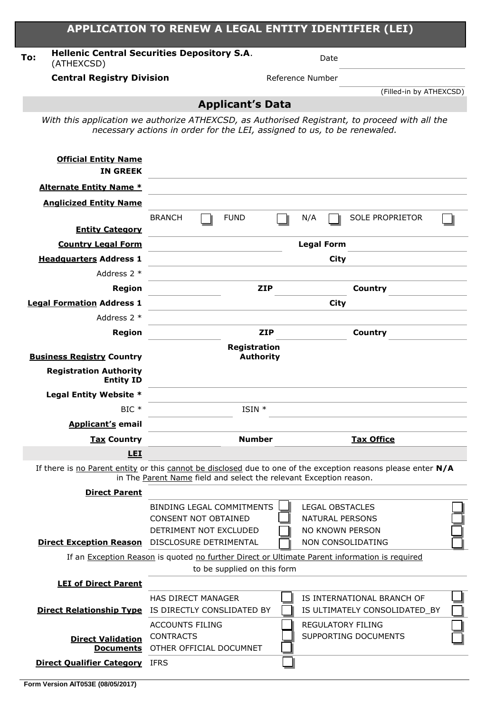| <b>BRANCH</b>                                                 | <b>FUND</b>                      |                                                    | N/A                                                                                                                  |                                                                                                      |                                                                                                                                                                                                            |                                                                                                                                                                                                                                                                        |
|---------------------------------------------------------------|----------------------------------|----------------------------------------------------|----------------------------------------------------------------------------------------------------------------------|------------------------------------------------------------------------------------------------------|------------------------------------------------------------------------------------------------------------------------------------------------------------------------------------------------------------|------------------------------------------------------------------------------------------------------------------------------------------------------------------------------------------------------------------------------------------------------------------------|
|                                                               |                                  |                                                    |                                                                                                                      |                                                                                                      |                                                                                                                                                                                                            |                                                                                                                                                                                                                                                                        |
|                                                               |                                  |                                                    |                                                                                                                      |                                                                                                      |                                                                                                                                                                                                            |                                                                                                                                                                                                                                                                        |
|                                                               |                                  |                                                    |                                                                                                                      | City                                                                                                 |                                                                                                                                                                                                            |                                                                                                                                                                                                                                                                        |
|                                                               |                                  |                                                    |                                                                                                                      |                                                                                                      |                                                                                                                                                                                                            |                                                                                                                                                                                                                                                                        |
|                                                               |                                  |                                                    |                                                                                                                      | Country                                                                                              |                                                                                                                                                                                                            |                                                                                                                                                                                                                                                                        |
|                                                               |                                  |                                                    |                                                                                                                      | <b>City</b>                                                                                          |                                                                                                                                                                                                            |                                                                                                                                                                                                                                                                        |
|                                                               |                                  |                                                    |                                                                                                                      |                                                                                                      |                                                                                                                                                                                                            |                                                                                                                                                                                                                                                                        |
|                                                               |                                  |                                                    |                                                                                                                      |                                                                                                      |                                                                                                                                                                                                            |                                                                                                                                                                                                                                                                        |
|                                                               |                                  |                                                    |                                                                                                                      |                                                                                                      |                                                                                                                                                                                                            |                                                                                                                                                                                                                                                                        |
|                                                               |                                  |                                                    |                                                                                                                      |                                                                                                      |                                                                                                                                                                                                            |                                                                                                                                                                                                                                                                        |
|                                                               |                                  |                                                    |                                                                                                                      |                                                                                                      |                                                                                                                                                                                                            |                                                                                                                                                                                                                                                                        |
|                                                               |                                  |                                                    |                                                                                                                      |                                                                                                      |                                                                                                                                                                                                            |                                                                                                                                                                                                                                                                        |
|                                                               |                                  |                                                    |                                                                                                                      |                                                                                                      |                                                                                                                                                                                                            |                                                                                                                                                                                                                                                                        |
|                                                               |                                  |                                                    |                                                                                                                      |                                                                                                      |                                                                                                                                                                                                            |                                                                                                                                                                                                                                                                        |
|                                                               |                                  |                                                    |                                                                                                                      | <b>Tax Office</b>                                                                                    |                                                                                                                                                                                                            |                                                                                                                                                                                                                                                                        |
|                                                               |                                  |                                                    |                                                                                                                      |                                                                                                      |                                                                                                                                                                                                            |                                                                                                                                                                                                                                                                        |
|                                                               |                                  |                                                    |                                                                                                                      |                                                                                                      |                                                                                                                                                                                                            |                                                                                                                                                                                                                                                                        |
|                                                               |                                  |                                                    |                                                                                                                      |                                                                                                      |                                                                                                                                                                                                            |                                                                                                                                                                                                                                                                        |
|                                                               |                                  |                                                    |                                                                                                                      |                                                                                                      |                                                                                                                                                                                                            |                                                                                                                                                                                                                                                                        |
| <b>BINDING LEGAL COMMITMENTS</b>                              |                                  |                                                    |                                                                                                                      | <b>LEGAL OBSTACLES</b>                                                                               |                                                                                                                                                                                                            |                                                                                                                                                                                                                                                                        |
| <b>CONSENT NOT OBTAINED</b>                                   |                                  |                                                    |                                                                                                                      | <b>NATURAL PERSONS</b>                                                                               |                                                                                                                                                                                                            |                                                                                                                                                                                                                                                                        |
| DETRIMENT NOT EXCLUDED                                        |                                  |                                                    |                                                                                                                      | NO KNOWN PERSON                                                                                      |                                                                                                                                                                                                            |                                                                                                                                                                                                                                                                        |
| <b>Direct Exception Reason</b> DISCLOSURE DETRIMENTAL         |                                  |                                                    |                                                                                                                      | NON CONSOLIDATING                                                                                    |                                                                                                                                                                                                            |                                                                                                                                                                                                                                                                        |
|                                                               |                                  |                                                    |                                                                                                                      | If an <b>Exception Reason</b> is quoted no further Direct or Ultimate Parent information is required |                                                                                                                                                                                                            |                                                                                                                                                                                                                                                                        |
|                                                               | to be supplied on this form      |                                                    |                                                                                                                      |                                                                                                      |                                                                                                                                                                                                            |                                                                                                                                                                                                                                                                        |
|                                                               |                                  |                                                    |                                                                                                                      |                                                                                                      |                                                                                                                                                                                                            |                                                                                                                                                                                                                                                                        |
| <b>HAS DIRECT MANAGER</b>                                     |                                  |                                                    |                                                                                                                      | IS INTERNATIONAL BRANCH OF                                                                           |                                                                                                                                                                                                            |                                                                                                                                                                                                                                                                        |
| IS DIRECTLY CONSLIDATED BY<br><b>Direct Relationship Type</b> |                                  |                                                    |                                                                                                                      | IS ULTIMATELY CONSOLIDATED_BY                                                                        |                                                                                                                                                                                                            |                                                                                                                                                                                                                                                                        |
| <b>ACCOUNTS FILING</b>                                        |                                  |                                                    |                                                                                                                      | <b>REGULATORY FILING</b>                                                                             |                                                                                                                                                                                                            |                                                                                                                                                                                                                                                                        |
| <b>CONTRACTS</b><br>OTHER OFFICIAL DOCUMNET                   |                                  |                                                    |                                                                                                                      | SUPPORTING DOCUMENTS                                                                                 |                                                                                                                                                                                                            |                                                                                                                                                                                                                                                                        |
|                                                               | <b>Central Registry Division</b> | <b>Hellenic Central Securities Depository S.A.</b> | <b>Applicant's Data</b><br><b>ZIP</b><br><b>ZIP</b><br>Registration<br><b>Authority</b><br>$ISIN *$<br><b>Number</b> |                                                                                                      | Date<br>Reference Number<br>necessary actions in order for the LEI, assigned to us, to be renewaled.<br><b>Legal Form</b><br>Country<br>in The Parent Name field and select the relevant Exception reason. | (Filled-in by ATHEXCSD)<br>With this application we authorize ATHEXCSD, as Authorised Registrant, to proceed with all the<br><b>SOLE PROPRIETOR</b><br>If there is no Parent entity or this cannot be disclosed due to one of the exception reasons please enter $N/A$ |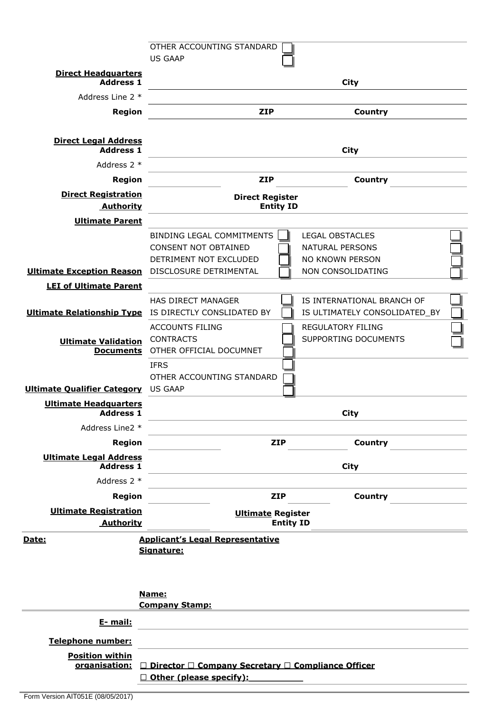|                                                         | OTHER ACCOUNTING STANDARD                                                                                  |                          |                                                                                          |  |  |
|---------------------------------------------------------|------------------------------------------------------------------------------------------------------------|--------------------------|------------------------------------------------------------------------------------------|--|--|
|                                                         | <b>US GAAP</b>                                                                                             |                          |                                                                                          |  |  |
| <b>Direct Headquarters</b><br><b>Address 1</b>          |                                                                                                            |                          | City                                                                                     |  |  |
| Address Line 2 *                                        |                                                                                                            |                          |                                                                                          |  |  |
| <b>Region</b>                                           |                                                                                                            | <b>ZIP</b>               | Country                                                                                  |  |  |
| <b>Direct Legal Address</b>                             |                                                                                                            |                          |                                                                                          |  |  |
| <b>Address 1</b>                                        |                                                                                                            |                          | <b>City</b>                                                                              |  |  |
| Address 2 *                                             |                                                                                                            |                          |                                                                                          |  |  |
| Region                                                  |                                                                                                            | <b>ZIP</b>               | Country                                                                                  |  |  |
| <b>Direct Registration</b><br><b>Authority</b>          | <b>Direct Register</b><br><b>Entity ID</b>                                                                 |                          |                                                                                          |  |  |
| <b>Ultimate Parent</b>                                  |                                                                                                            |                          |                                                                                          |  |  |
| <b>Ultimate Exception Reason</b> DISCLOSURE DETRIMENTAL | <b>BINDING LEGAL COMMITMENTS</b><br><b>CONSENT NOT OBTAINED</b><br>DETRIMENT NOT EXCLUDED                  |                          | <b>LEGAL OBSTACLES</b><br><b>NATURAL PERSONS</b><br>NO KNOWN PERSON<br>NON CONSOLIDATING |  |  |
| <b>LEI of Ultimate Parent</b>                           |                                                                                                            |                          |                                                                                          |  |  |
| <b>Ultimate Relationship Type</b>                       | HAS DIRECT MANAGER<br>IS DIRECTLY CONSLIDATED BY                                                           |                          | IS INTERNATIONAL BRANCH OF<br>IS ULTIMATELY CONSOLIDATED_BY                              |  |  |
| <b>Ultimate Validation</b><br><b>Documents</b>          | <b>ACCOUNTS FILING</b><br><b>CONTRACTS</b><br>OTHER OFFICIAL DOCUMNET                                      |                          | <b>REGULATORY FILING</b><br>SUPPORTING DOCUMENTS                                         |  |  |
| <b>Ultimate Qualifier Category</b>                      | <b>IFRS</b><br>OTHER ACCOUNTING STANDARD<br><b>US GAAP</b>                                                 |                          |                                                                                          |  |  |
| <b>Ultimate Headquarters</b><br><b>Address 1</b>        |                                                                                                            |                          | <b>City</b>                                                                              |  |  |
| Address Line2 *                                         |                                                                                                            |                          |                                                                                          |  |  |
| <b>Region</b>                                           |                                                                                                            | <b>ZIP</b>               | Country                                                                                  |  |  |
| <b>Ultimate Legal Address</b><br><b>Address 1</b>       |                                                                                                            |                          | City                                                                                     |  |  |
| Address 2 *                                             |                                                                                                            |                          |                                                                                          |  |  |
| <b>Region</b>                                           |                                                                                                            | <b>ZIP</b>               | Country                                                                                  |  |  |
| <b>Ultimate Registration</b>                            |                                                                                                            | <b>Ultimate Register</b> |                                                                                          |  |  |
| <b>Authority</b>                                        |                                                                                                            | <b>Entity ID</b>         |                                                                                          |  |  |
| Date:                                                   | <b>Applicant's Legal Representative</b><br>Signature:<br>Name:<br><b>Company Stamp:</b>                    |                          |                                                                                          |  |  |
| E- mail:                                                |                                                                                                            |                          |                                                                                          |  |  |
| Telephone number:                                       |                                                                                                            |                          |                                                                                          |  |  |
| <b>Position within</b>                                  | <u>organisation: □ Director □ Company Secretary □ Compliance Officer</u><br>$\Box$ Other (please specify): |                          |                                                                                          |  |  |